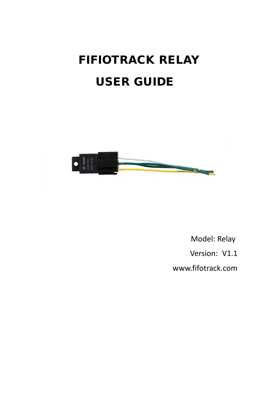# FIFIOTRACK RELAY USER GUIDE



 Model: Relay Version: V1.1 [www.fifotrack.com](http://www.fifotrack.com/)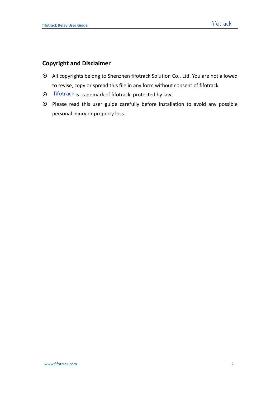### **Copyright and Disclaimer**

- All copyrights belong to Shenzhen fifotrack Solution Co., Ltd. You are not allowed to revise, copy or spread this file in any form without consent of fifotrack.
- $\odot$  fifotrack is trademark of fifotrack, protected by law.
- Please read this user guide carefully before installation to avoid any possible personal injury or property loss.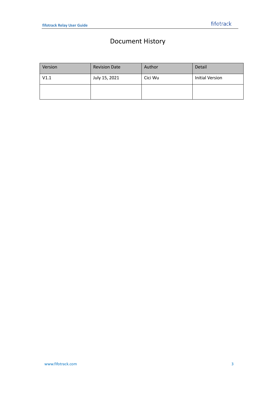## Document History

| Version | <b>Revision Date</b> | Author  | Detail                 |
|---------|----------------------|---------|------------------------|
| V1.1    | July 15, 2021        | Cici Wu | <b>Initial Version</b> |
|         |                      |         |                        |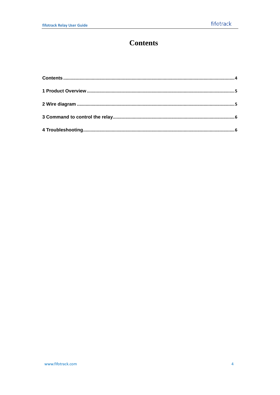### <span id="page-3-0"></span>**Contents**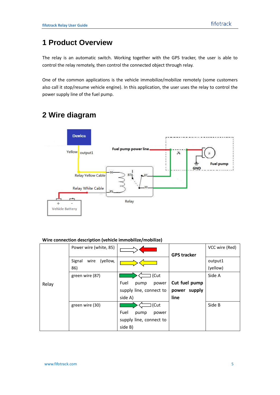### <span id="page-4-0"></span>**1 Product Overview**

The relay is an automatic switch. Working together with the GPS tracker, the user is able to control the relay remotely, then control the connected object through relay.

One of the common applications is the vehicle immobilize/mobilize remotely (some customers also call it stop/resume vehicle engine). In this application, the user uses the relay to control the power supply line of the fuel pump.

### <span id="page-4-1"></span>**2 Wire diagram**



### **Wire connection description (vehicle immobilize/mobilize)**

|       | Power wire (white, 85)     |                         | <b>GPS tracker</b> | VCC wire (Red) |
|-------|----------------------------|-------------------------|--------------------|----------------|
| Relay | (yellow,<br>Signal<br>wire |                         |                    | output1        |
|       | 86)                        |                         |                    | (yellow)       |
|       | green wire (87)            | (Cut                    |                    | Side A         |
|       |                            | Fuel<br>power<br>pump   | Cut fuel pump      |                |
|       |                            | supply line, connect to | supply<br>power    |                |
|       |                            | side A)                 | line               |                |
|       | green wire (30)            | (Cut                    |                    | Side B         |
|       |                            | Fuel<br>pump<br>power   |                    |                |
|       |                            | supply line, connect to |                    |                |
|       |                            | side B)                 |                    |                |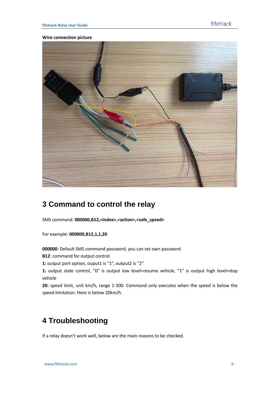#### **Wire connection picture**



### <span id="page-5-0"></span>**3 Command to control the relay**

SMS command: **000000,B12,<index>,<action>,<safe\_speed>**

For example: **000000,B12,1,1,20**

**000000**: Default SMS command password, you can set own password.

**B12**: command for output control

**1:** output port option, ouput1 is "1", output2 is "2"

**1:** output state control, "0" is output low level=resume vehicle, "1" is output high level=stop vehicle

**20:** speed limit, unit km/h, range 1-300. Command only executes when the speed is below the speed limitation. Here is below 20km/h.

### <span id="page-5-1"></span>**4 Troubleshooting**

If a relay doesn't work well, below are the main reasons to be checked.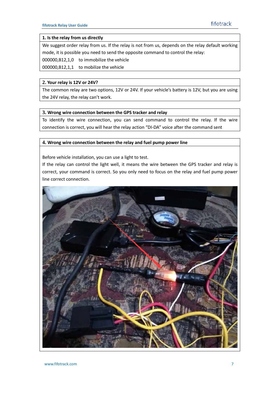#### **1. Is the relay from us directly**

We suggest order relay from us. If the relay is not from us, depends on the relay default working mode, it is possible you need to send the opposite command to control the relay:

000000,B12,1,0 to immobilize the vehicle

000000,B12,1,1 to mobilize the vehicle

#### **2. Your relay is 12V or 24V?**

The common relay are two options, 12V or 24V. If your vehicle's battery is 12V, but you are using the 24V relay, the relay can't work.

#### **3. Wrong wire connection between the GPS tracker and relay**

To identify the wire connection, you can send command to control the relay. If the wire connection is correct, you will hear the relay action "DI-DA" voice after the command sent

### **4. Wrong wire connection between the relay and fuel pump power line**

Before vehicle installation, you can use a light to test.

If the relay can control the light well, it means the wire between the GPS tracker and relay is correct, your command is correct. So you only need to focus on the relay and fuel pump power line correct connection.